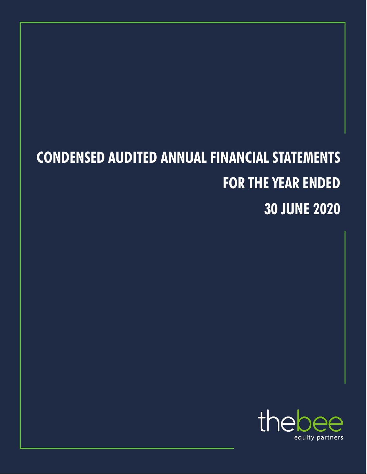# **CONDENSED AUDITED ANNUAL FINANCIAL STATEMENTS FOR THE YEAR ENDED 30 JUNE 2020**